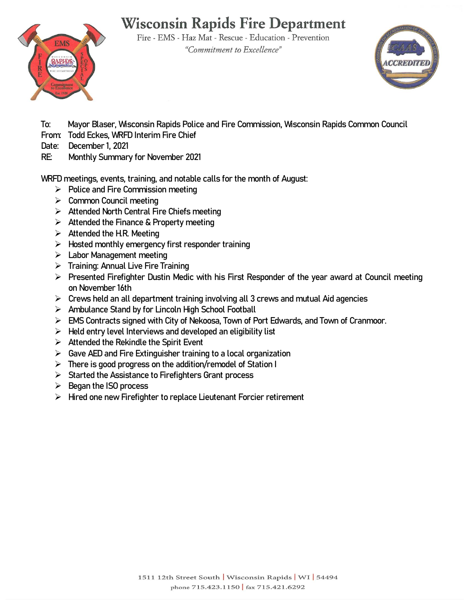# **Wisconsin Rapids Fire Department**

Fire - EMS - Haz Mat - Rescue - Education - Prevention "Commitment to Excellence"



**To: Mayor Blaser, Wisconsin Rapids Police and Fire Commission, Wisconsin Rapids Common Council** 

- **From: Todd Eckes, WRFD Interim Fire Chief**
- **Date: December 1, 2021**

**EMS** 

**RE: Monthly Summary for November 2021**

**WRFD meetings, events, training, and notable calls for the month of August:**

- **Police and Fire Commission meeting**
- **Common Council meeting**
- **Attended North Central Fire Chiefs meeting**
- **Attended the Finance & Property meeting**
- **Attended the H.R. Meeting**
- **Hosted monthly emergency first responder training**
- **Labor Management meeting**
- **Training: Annual Live Fire Training**
- **Presented Firefighter Dustin Medic with his First Responder of the year award at Council meeting on November 16th**
- **Crews held an all department training involving all 3 crews and mutual Aid agencies**
- **Ambulance Stand by for Lincoln High School Football**
- **EMS Contracts signed with City of Nekoosa, Town of Port Edwards, and Town of Cranmoor.**
- **Held entry level Interviews and developed an eligibility list**
- **Attended the Rekindle the Spirit Event**
- **Gave AED and Fire Extinguisher training to a local organization**
- **There is good progress on the addition/remodel of Station I**
- **Started the Assistance to Firefighters Grant process**
- **Began the ISO process**
- **Hired one new Firefighter to replace Lieutenant Forcier retirement**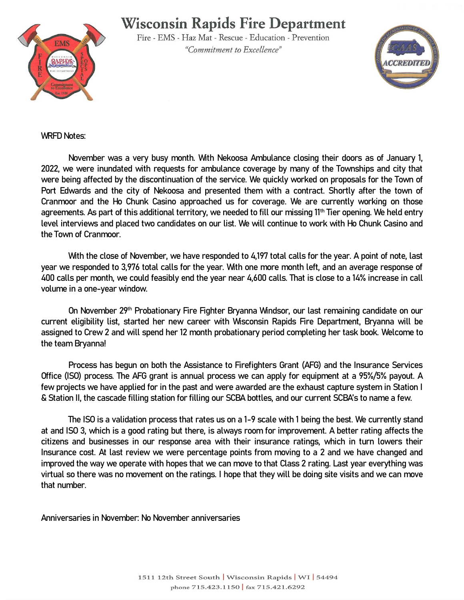### **Wisconsin Rapids Fire Department**



Fire - EMS - Haz Mat - Rescue - Education - Prevention "Commitment to Excellence"



#### **WRFD Notes:**

**November was a very busy month. With Nekoosa Ambulance closing their doors as of January 1, 2022, we were inundated with requests for ambulance coverage by many of the Townships and city that were being affected by the discontinuation of the service. We quickly worked on proposals for the Town of Port Edwards and the city of Nekoosa and presented them with a contract. Shortly after the town of Cranmoor and the Ho Chunk Casino approached us for coverage. We are currently working on those agreements. As part of this additional territory, we needed to fill our missing 11th Tier opening. We held entry level interviews and placed two candidates on our list. We will continue to work with Ho Chunk Casino and the Town of Cranmoor.** 

**With the close of November, we have responded to 4,197 total calls for the year. A point of note, last year we responded to 3,976 total calls for the year. With one more month left, and an average response of 400 calls per month, we could feasibly end the year near 4,600 calls. That is close to a 14% increase in call volume in a one-year window.** 

**On November 29th Probationary Fire Fighter Bryanna Windsor, our last remaining candidate on our current eligibility list, started her new career with Wisconsin Rapids Fire Department, Bryanna will be assigned to Crew 2 and will spend her 12 month probationary period completing her task book. Welcome to the team Bryanna!**

**Process has begun on both the Assistance to Firefighters Grant (AFG) and the Insurance Services Office (ISO) process. The AFG grant is annual process we can apply for equipment at a 95%/5% payout. A few projects we have applied for in the past and were awarded are the exhaust capture system in Station I & Station II, the cascade filling station for filling our SCBA bottles, and our current SCBA's to name a few.** 

**The ISO is a validation process that rates us on a 1-9 scale with 1 being the best. We currently stand at and ISO 3, which is a good rating but there, is always room for improvement. A better rating affects the citizens and businesses in our response area with their insurance ratings, which in turn lowers their Insurance cost. At last review we were percentage points from moving to a 2 and we have changed and improved the way we operate with hopes that we can move to that Class 2 rating. Last year everything was virtual so there was no movement on the ratings. I hope that they will be doing site visits and we can move that number.** 

**Anniversaries in November: No November anniversaries**